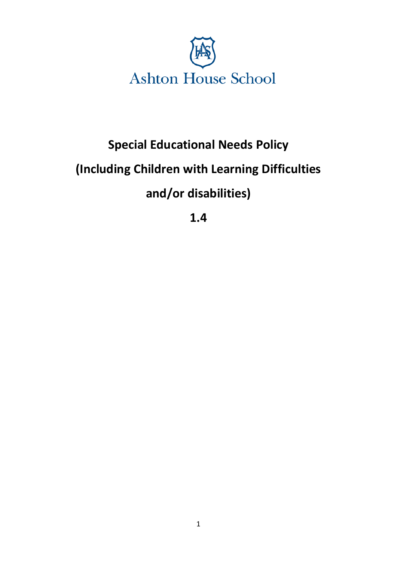

# **Special Educational Needs Policy (Including Children with Learning Difficulties and/or disabilities)**

**1.4**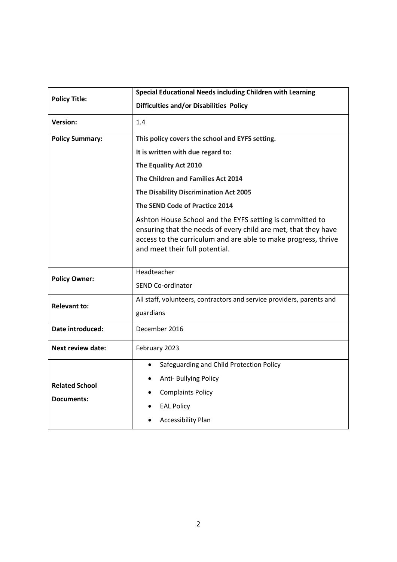| <b>Policy Title:</b>                       | Special Educational Needs including Children with Learning                                                                                                                                                                     |
|--------------------------------------------|--------------------------------------------------------------------------------------------------------------------------------------------------------------------------------------------------------------------------------|
|                                            | <b>Difficulties and/or Disabilities Policy</b>                                                                                                                                                                                 |
| <b>Version:</b>                            | 1.4                                                                                                                                                                                                                            |
| <b>Policy Summary:</b>                     | This policy covers the school and EYFS setting.                                                                                                                                                                                |
|                                            | It is written with due regard to:                                                                                                                                                                                              |
|                                            | The Equality Act 2010                                                                                                                                                                                                          |
|                                            | The Children and Families Act 2014                                                                                                                                                                                             |
|                                            | The Disability Discrimination Act 2005                                                                                                                                                                                         |
|                                            | The SEND Code of Practice 2014                                                                                                                                                                                                 |
|                                            | Ashton House School and the EYFS setting is committed to<br>ensuring that the needs of every child are met, that they have<br>access to the curriculum and are able to make progress, thrive<br>and meet their full potential. |
| <b>Policy Owner:</b>                       | Headteacher                                                                                                                                                                                                                    |
|                                            | <b>SEND Co-ordinator</b>                                                                                                                                                                                                       |
| <b>Relevant to:</b>                        | All staff, volunteers, contractors and service providers, parents and                                                                                                                                                          |
|                                            | guardians                                                                                                                                                                                                                      |
| Date introduced:                           | December 2016                                                                                                                                                                                                                  |
| <b>Next review date:</b>                   | February 2023                                                                                                                                                                                                                  |
| <b>Related School</b><br><b>Documents:</b> | Safeguarding and Child Protection Policy                                                                                                                                                                                       |
|                                            | Anti- Bullying Policy                                                                                                                                                                                                          |
|                                            | <b>Complaints Policy</b>                                                                                                                                                                                                       |
|                                            | <b>EAL Policy</b>                                                                                                                                                                                                              |
|                                            | <b>Accessibility Plan</b>                                                                                                                                                                                                      |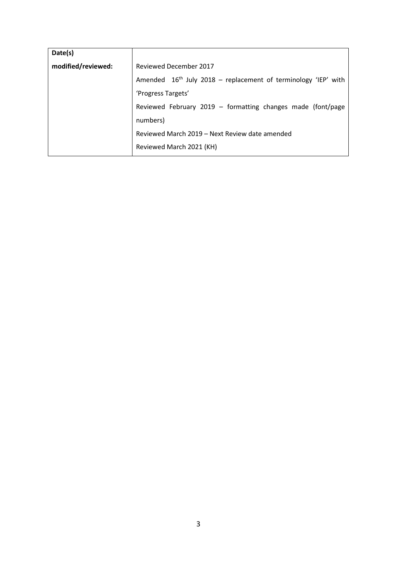| Date(s)            |                                                                  |
|--------------------|------------------------------------------------------------------|
| modified/reviewed: | <b>Reviewed December 2017</b>                                    |
|                    | Amended $16th$ July 2018 – replacement of terminology 'IEP' with |
|                    | 'Progress Targets'                                               |
|                    | Reviewed February 2019 - formatting changes made (font/page      |
|                    | numbers)                                                         |
|                    | Reviewed March 2019 - Next Review date amended                   |
|                    | Reviewed March 2021 (KH)                                         |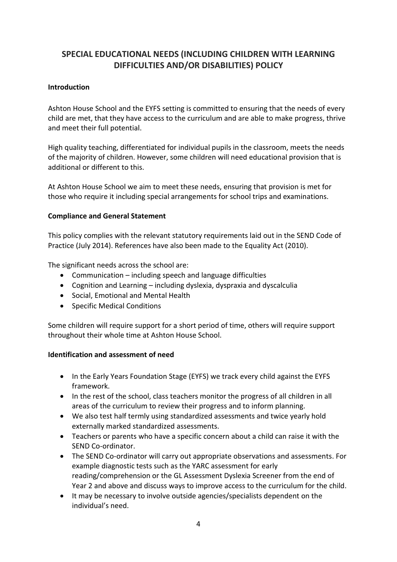## **SPECIAL EDUCATIONAL NEEDS (INCLUDING CHILDREN WITH LEARNING DIFFICULTIES AND/OR DISABILITIES) POLICY**

## **Introduction**

Ashton House School and the EYFS setting is committed to ensuring that the needs of every child are met, that they have access to the curriculum and are able to make progress, thrive and meet their full potential.

High quality teaching, differentiated for individual pupils in the classroom, meets the needs of the majority of children. However, some children will need educational provision that is additional or different to this.

At Ashton House School we aim to meet these needs, ensuring that provision is met for those who require it including special arrangements for school trips and examinations.

## **Compliance and General Statement**

This policy complies with the relevant statutory requirements laid out in the SEND Code of Practice (July 2014). References have also been made to the Equality Act (2010).

The significant needs across the school are:

- Communication including speech and language difficulties
- Cognition and Learning including dyslexia, dyspraxia and dyscalculia
- Social, Emotional and Mental Health
- Specific Medical Conditions

Some children will require support for a short period of time, others will require support throughout their whole time at Ashton House School.

#### **Identification and assessment of need**

- In the Early Years Foundation Stage (EYFS) we track every child against the EYFS framework.
- In the rest of the school, class teachers monitor the progress of all children in all areas of the curriculum to review their progress and to inform planning.
- We also test half termly using standardized assessments and twice yearly hold externally marked standardized assessments.
- Teachers or parents who have a specific concern about a child can raise it with the SEND Co-ordinator.
- The SEND Co-ordinator will carry out appropriate observations and assessments. For example diagnostic tests such as the YARC assessment for early reading/comprehension or the GL Assessment Dyslexia Screener from the end of Year 2 and above and discuss ways to improve access to the curriculum for the child.
- It may be necessary to involve outside agencies/specialists dependent on the individual's need.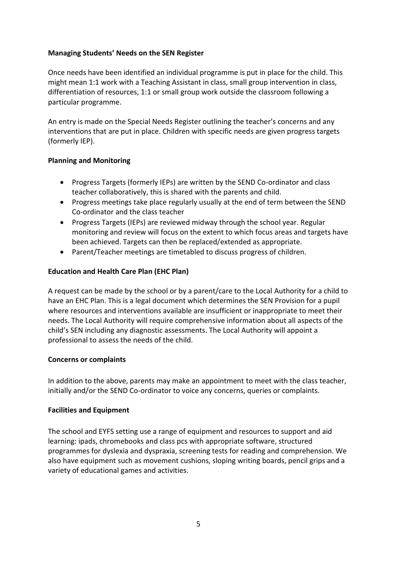## **Managing Students' Needs on the SEN Register**

Once needs have been identified an individual programme is put in place for the child. This might mean 1:1 work with a Teaching Assistant in class, small group intervention in class, differentiation of resources, 1:1 or small group work outside the classroom following a particular programme.

An entry is made on the Special Needs Register outlining the teacher's concerns and any interventions that are put in place. Children with specific needs are given progress targets (formerly IEP).

## **Planning and Monitoring**

- Progress Targets (formerly IEPs) are written by the SEND Co-ordinator and class teacher collaboratively, this is shared with the parents and child.
- Progress meetings take place regularly usually at the end of term between the SEND Co-ordinator and the class teacher
- Progress Targets (IEPs) are reviewed midway through the school year. Regular monitoring and review will focus on the extent to which focus areas and targets have been achieved. Targets can then be replaced/extended as appropriate.
- Parent/Teacher meetings are timetabled to discuss progress of children.

## **Education and Health Care Plan (EHC Plan)**

A request can be made by the school or by a parent/care to the Local Authority for a child to have an EHC Plan. This is a legal document which determines the SEN Provision for a pupil where resources and interventions available are insufficient or inappropriate to meet their needs. The Local Authority will require comprehensive information about all aspects of the child's SEN including any diagnostic assessments. The Local Authority will appoint a professional to assess the needs of the child.

## **Concerns or complaints**

In addition to the above, parents may make an appointment to meet with the class teacher, initially and/or the SEND Co-ordinator to voice any concerns, queries or complaints.

## **Facilities and Equipment**

The school and EYFS setting use a range of equipment and resources to support and aid learning: ipads, chromebooks and class pcs with appropriate software, structured programmes for dyslexia and dyspraxia, screening tests for reading and comprehension. We also have equipment such as movement cushions, sloping writing boards, pencil grips and a variety of educational games and activities.